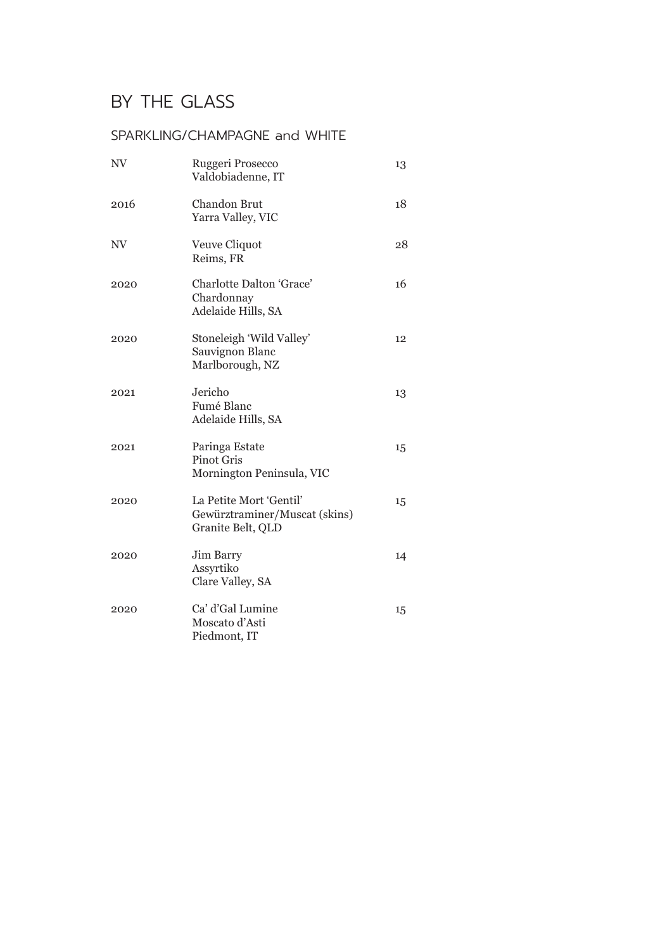#### SPARKLING/CHAMPAGNE and WHITE

| NV   | Ruggeri Prosecco<br>Valdobiadenne, IT                                         | 13 |
|------|-------------------------------------------------------------------------------|----|
| 2016 | <b>Chandon Brut</b><br>Yarra Valley, VIC                                      | 18 |
| NV   | Veuve Cliquot<br>Reims, FR                                                    | 28 |
| 2020 | Charlotte Dalton 'Grace'<br>Chardonnay<br>Adelaide Hills, SA                  | 16 |
| 2020 | Stoneleigh 'Wild Valley'<br>Sauvignon Blanc<br>Marlborough, NZ                | 12 |
| 2021 | Jericho<br>Fumé Blanc<br>Adelaide Hills, SA                                   | 13 |
| 2021 | Paringa Estate<br><b>Pinot Gris</b><br>Mornington Peninsula, VIC              | 15 |
| 2020 | La Petite Mort 'Gentil'<br>Gewürztraminer/Muscat (skins)<br>Granite Belt, QLD | 15 |
| 2020 | Jim Barry<br>Assyrtiko<br>Clare Valley, SA                                    | 14 |
| 2020 | Ca' d'Gal Lumine<br>Moscato d'Asti<br>Piedmont, IT                            | 15 |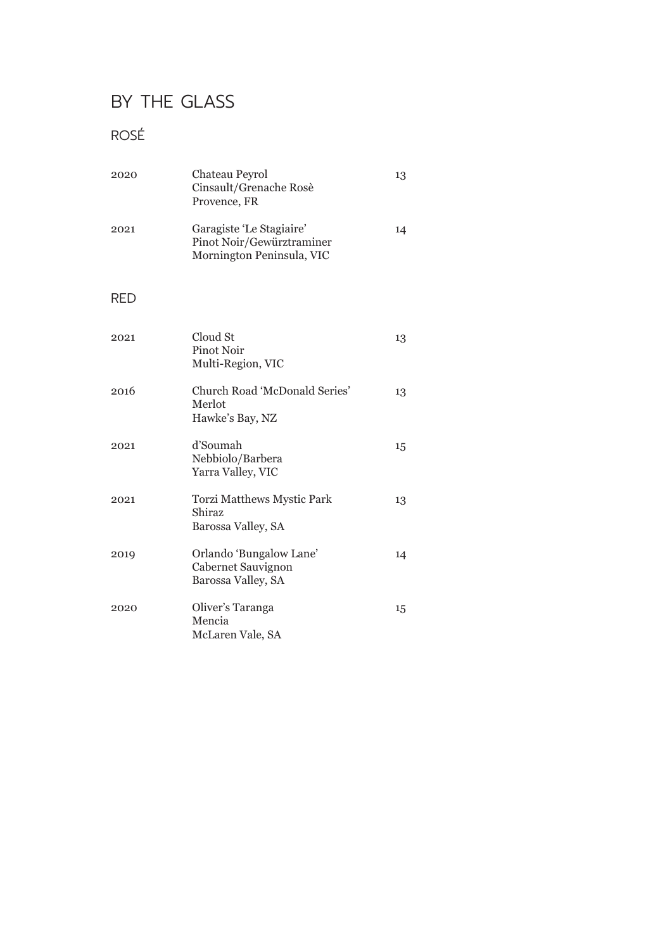### ROSÉ

| 2020 | Chateau Peyrol<br>Cinsault/Grenache Rosè<br>Provence, FR                           | 13 |
|------|------------------------------------------------------------------------------------|----|
| 2021 | Garagiste 'Le Stagiaire'<br>Pinot Noir/Gewürztraminer<br>Mornington Peninsula, VIC | 14 |
| RED  |                                                                                    |    |
| 2021 | Cloud St<br>Pinot Noir<br>Multi-Region, VIC                                        | 13 |
| 2016 | Church Road 'McDonald Series'<br>Merlot<br>Hawke's Bay, NZ                         | 13 |
| 2021 | d'Soumah<br>Nebbiolo/Barbera<br>Yarra Valley, VIC                                  | 15 |
| 2021 | Torzi Matthews Mystic Park<br>Shiraz<br>Barossa Valley, SA                         | 13 |
| 2019 | Orlando 'Bungalow Lane'<br>Cabernet Sauvignon<br>Barossa Valley, SA                | 14 |
| 2020 | Oliver's Taranga<br>Mencia<br>McLaren Vale, SA                                     | 15 |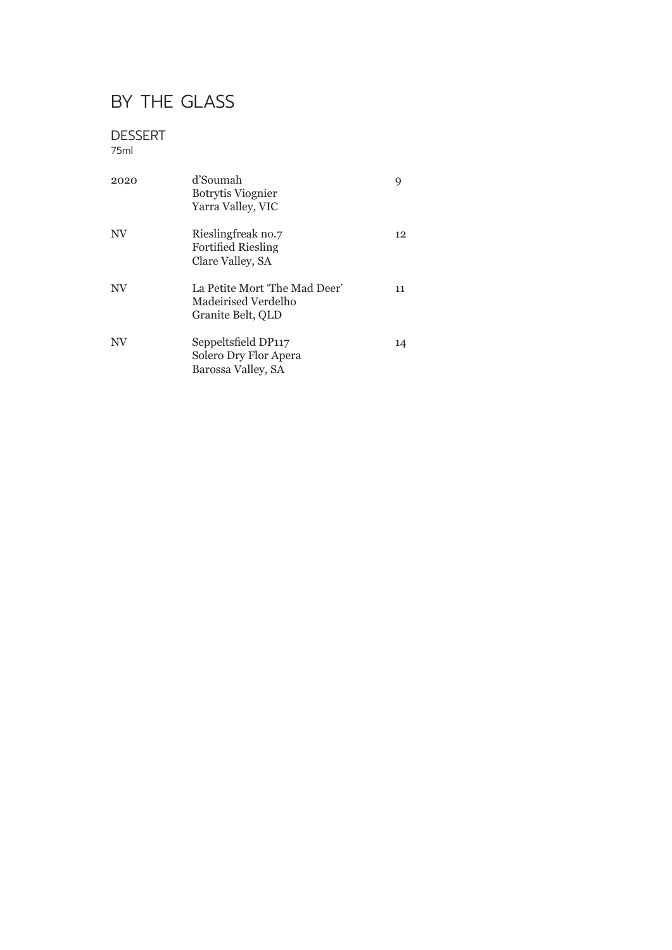#### DESSERT

#### 75ml

| 2020      | d'Soumah<br><b>Botrytis Viognier</b><br>Yarra Valley, VIC                 | 9  |
|-----------|---------------------------------------------------------------------------|----|
| NV        | Rieslingfreak no.7<br><b>Fortified Riesling</b><br>Clare Valley, SA       | 12 |
| NV        | La Petite Mort 'The Mad Deer'<br>Madeirised Verdelho<br>Granite Belt, QLD | 11 |
| <b>NV</b> | Seppeltsfield DP117<br>Solero Dry Flor Apera<br>Barossa Valley, SA        | 14 |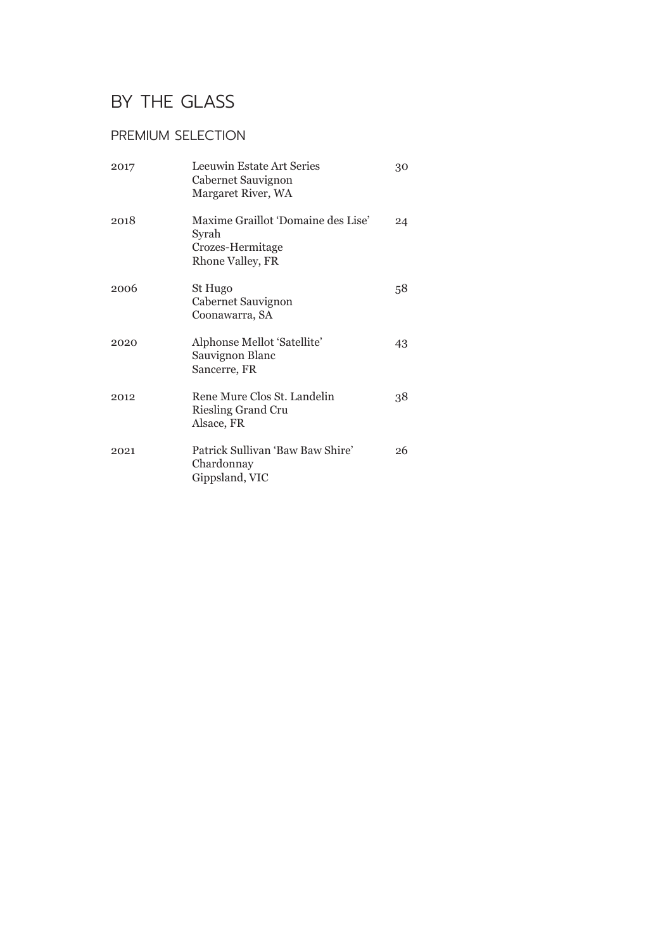### PREMIUM SELECTION

| 2017 | Leeuwin Estate Art Series<br>Cabernet Sauvignon<br>Margaret River, WA               | 30 |
|------|-------------------------------------------------------------------------------------|----|
| 2018 | Maxime Graillot 'Domaine des Lise'<br>Syrah<br>Crozes-Hermitage<br>Rhone Valley, FR | 24 |
| 2006 | St Hugo<br>Cabernet Sauvignon<br>Coonawarra, SA                                     | 58 |
| 2020 | Alphonse Mellot 'Satellite'<br>Sauvignon Blanc<br>Sancerre, FR                      | 43 |
| 2012 | Rene Mure Clos St. Landelin<br><b>Riesling Grand Cru</b><br>Alsace, FR              | 38 |
| 2021 | Patrick Sullivan 'Baw Baw Shire'<br>Chardonnay<br>Gippsland, VIC                    | 26 |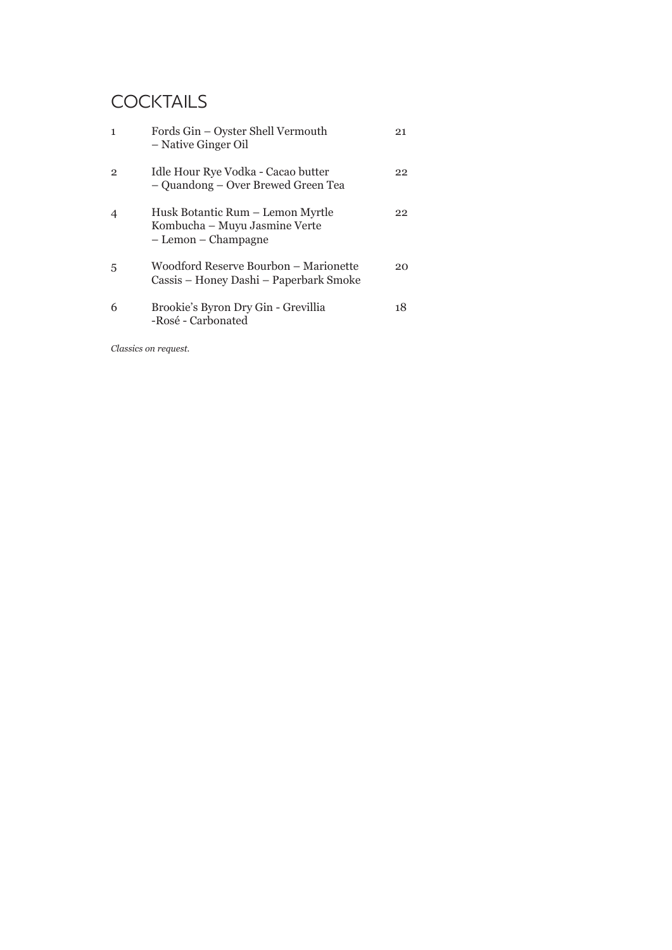## **COCKTAILS**

| $\mathbf{1}$   | Fords Gin - Oyster Shell Vermouth<br>- Native Ginger Oil                                 | 21 |
|----------------|------------------------------------------------------------------------------------------|----|
| $\overline{2}$ | Idle Hour Rye Vodka - Cacao butter<br>- Quandong - Over Brewed Green Tea                 | 22 |
| $\overline{4}$ | Husk Botantic Rum – Lemon Myrtle<br>Kombucha – Muyu Jasmine Verte<br>- Lemon - Champagne | 22 |
| 5              | Woodford Reserve Bourbon - Marionette<br>Cassis – Honey Dashi – Paperbark Smoke          | 20 |
| 6              | Brookie's Byron Dry Gin - Grevillia<br>-Rosé - Carbonated                                | 18 |

*Classics on request.*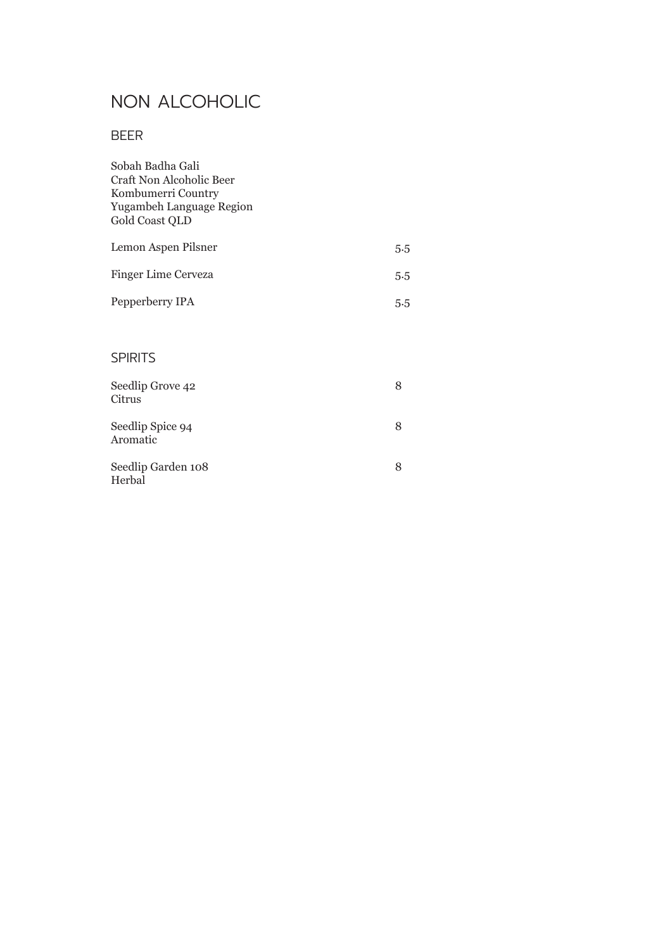# NON ALCOHOLIC

### BEER

| Sobah Badha Gali<br>Craft Non Alcoholic Beer<br>Kombumerri Country<br>Yugambeh Language Region<br>Gold Coast QLD |     |
|------------------------------------------------------------------------------------------------------------------|-----|
| Lemon Aspen Pilsner                                                                                              | 5.5 |
| <b>Finger Lime Cerveza</b>                                                                                       | 5.5 |
| Pepperberry IPA                                                                                                  | 5.5 |
|                                                                                                                  |     |
| <b>SPIRITS</b>                                                                                                   |     |
| Seedlip Grove 42<br>Citrus                                                                                       | 8   |
| Seedlip Spice 94<br>Aromatic                                                                                     | 8   |
| Seedlip Garden 108<br>Herbal                                                                                     | 8   |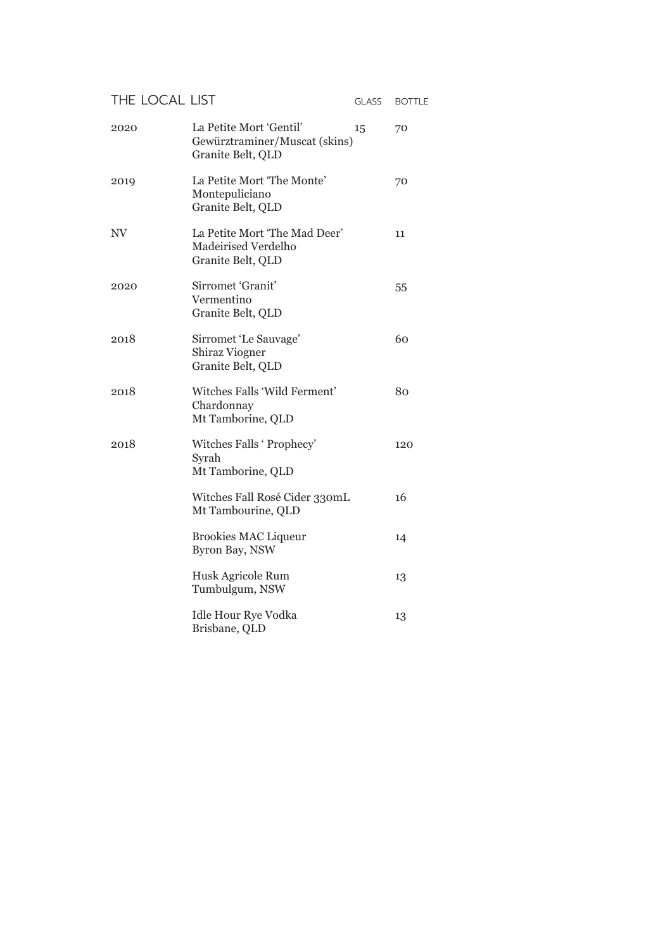#### THE LOCAL LIST GLASS BOTTLE

| 2020 | La Petite Mort 'Gentil'<br>15<br>Gewürztraminer/Muscat (skins)<br>Granite Belt, QLD | 70  |
|------|-------------------------------------------------------------------------------------|-----|
| 2019 | La Petite Mort 'The Monte'<br>Montepuliciano<br>Granite Belt, QLD                   | 70  |
| NV   | La Petite Mort 'The Mad Deer'<br>Madeirised Verdelho<br>Granite Belt, QLD           | 11  |
| 2020 | Sirromet 'Granit'<br>Vermentino<br>Granite Belt, QLD                                | 55  |
| 2018 | Sirromet 'Le Sauvage'<br><b>Shiraz Viogner</b><br>Granite Belt, QLD                 | 60  |
| 2018 | Witches Falls 'Wild Ferment'<br>Chardonnay<br>Mt Tamborine, QLD                     | 80  |
| 2018 | Witches Falls ' Prophecy'<br>Syrah<br>Mt Tamborine, QLD                             | 120 |
|      | Witches Fall Rosé Cider 330mL<br>Mt Tambourine, QLD                                 | 16  |
|      | <b>Brookies MAC Liqueur</b><br>Byron Bay, NSW                                       | 14  |
|      | Husk Agricole Rum<br>Tumbulgum, NSW                                                 | 13  |
|      | <b>Idle Hour Rye Vodka</b><br>Brisbane, QLD                                         | 13  |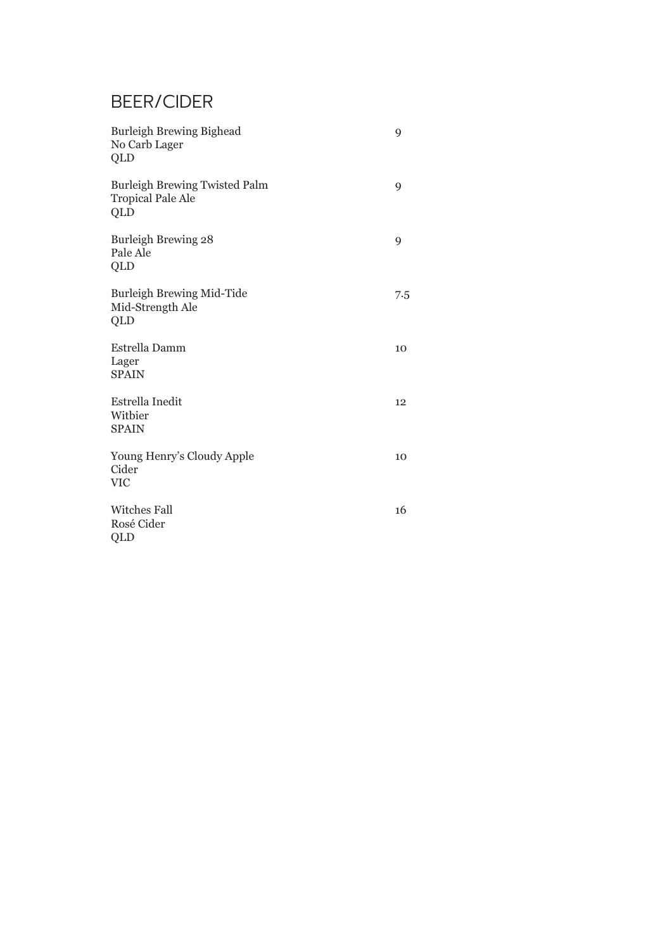# BEER/CIDER

| Burleigh Brewing Bighead<br>No Carb Lager<br>QLD                        | 9   |
|-------------------------------------------------------------------------|-----|
| <b>Burleigh Brewing Twisted Palm</b><br><b>Tropical Pale Ale</b><br>QLD | 9   |
| Burleigh Brewing 28<br>Pale Ale<br>QLD                                  | 9   |
| Burleigh Brewing Mid-Tide<br>Mid-Strength Ale<br>QLD                    | 7.5 |
| Estrella Damm<br>Lager<br><b>SPAIN</b>                                  | 10  |
| Estrella Inedit<br>Witbier<br><b>SPAIN</b>                              | 12  |
| Young Henry's Cloudy Apple<br>Cider<br><b>VIC</b>                       | 10  |
| <b>Witches Fall</b><br>Rosé Cider<br>QLD                                | 16  |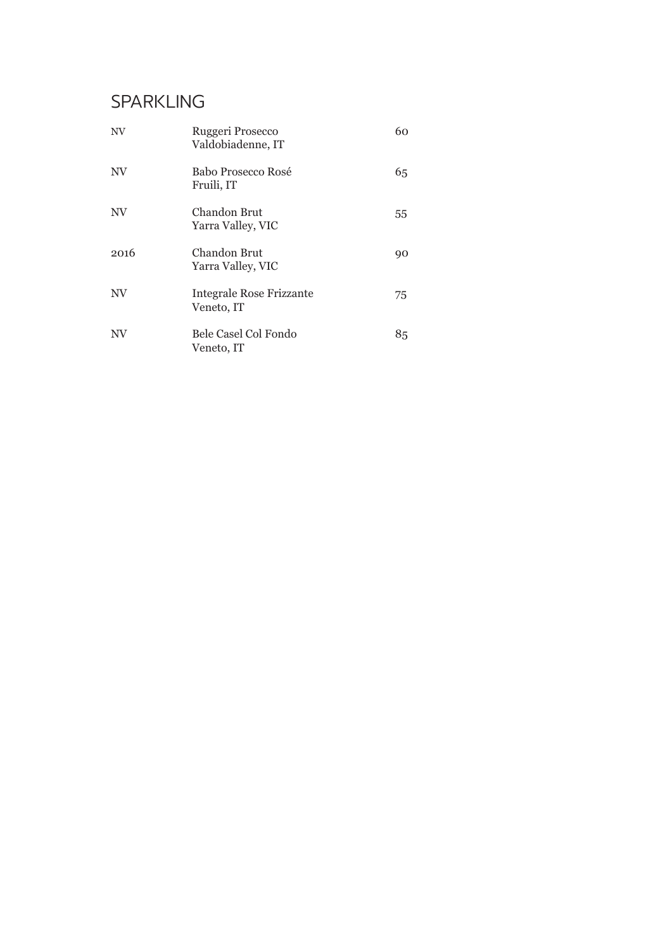# SPARKLING

| NV        | Ruggeri Prosecco<br>Valdobiadenne, IT         | 60 |
|-----------|-----------------------------------------------|----|
| <b>NV</b> | Babo Prosecco Rosé<br>Fruili, IT              | 65 |
| <b>NV</b> | Chandon Brut<br>Yarra Valley, VIC             | 55 |
| 2016      | Chandon Brut<br>Yarra Valley, VIC             | 90 |
| NV        | <b>Integrale Rose Frizzante</b><br>Veneto, IT | 75 |
| NV        | Bele Casel Col Fondo<br>Veneto, IT            | 85 |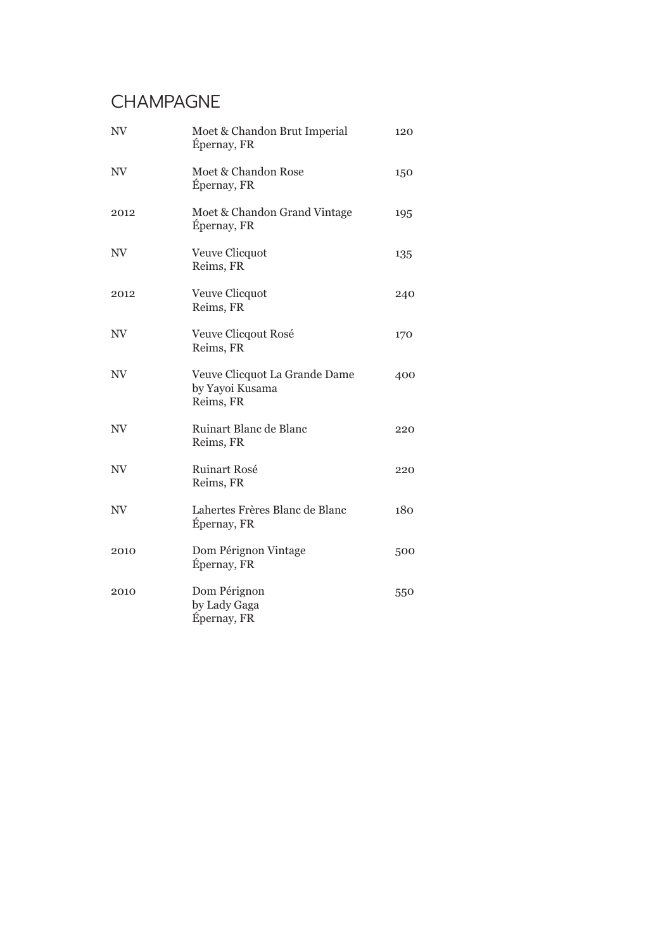### CHAMPAGNE

| NV   | Moet & Chandon Brut Imperial<br>Épernay, FR                   | 120 |
|------|---------------------------------------------------------------|-----|
| NV   | Moet & Chandon Rose<br>Épernay, FR                            | 150 |
| 2012 | Moet & Chandon Grand Vintage<br>Épernay, FR                   | 195 |
| NV   | Veuve Clicquot<br>Reims, FR                                   | 135 |
| 2012 | Veuve Clicquot<br>Reims, FR                                   | 240 |
| NV   | Veuve Clicqout Rosé<br>Reims, FR                              | 170 |
| NV.  | Veuve Clicquot La Grande Dame<br>by Yayoi Kusama<br>Reims, FR | 400 |
| NV   | Ruinart Blanc de Blanc<br>Reims, FR                           | 220 |
| NV   | <b>Ruinart Rosé</b><br>Reims, FR                              | 220 |
| NV   | Lahertes Frères Blanc de Blanc<br>Épernay, FR                 | 180 |
| 2010 | Dom Pérignon Vintage<br>Épernay, FR                           | 500 |
| 2010 | Dom Pérignon<br>by Lady Gaga<br>Épernay, FR                   | 550 |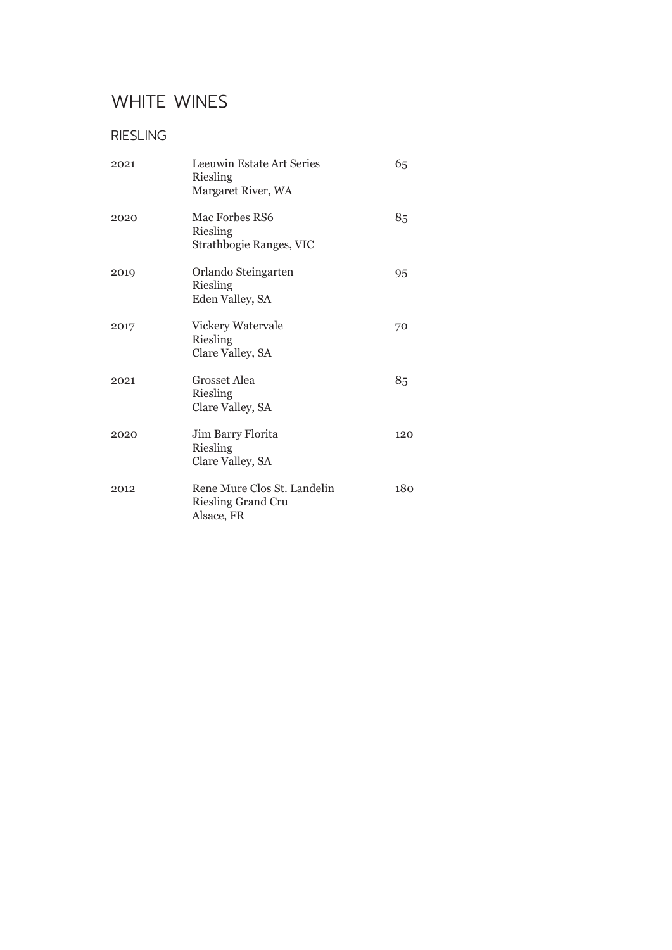### WHITE WINES

### RIESLING

| 2021 | Leeuwin Estate Art Series<br>Riesling<br>Margaret River, WA            | 65  |
|------|------------------------------------------------------------------------|-----|
| 2020 | Mac Forbes RS6<br>Riesling<br>Strathbogie Ranges, VIC                  | 85  |
| 2019 | Orlando Steingarten<br>Riesling<br>Eden Valley, SA                     | 95  |
| 2017 | Vickery Watervale<br>Riesling<br>Clare Valley, SA                      | 70  |
| 2021 | Grosset Alea<br>Riesling<br>Clare Valley, SA                           | 85  |
| 2020 | Jim Barry Florita<br>Riesling<br>Clare Valley, SA                      | 120 |
| 2012 | Rene Mure Clos St. Landelin<br><b>Riesling Grand Cru</b><br>Alsace, FR | 180 |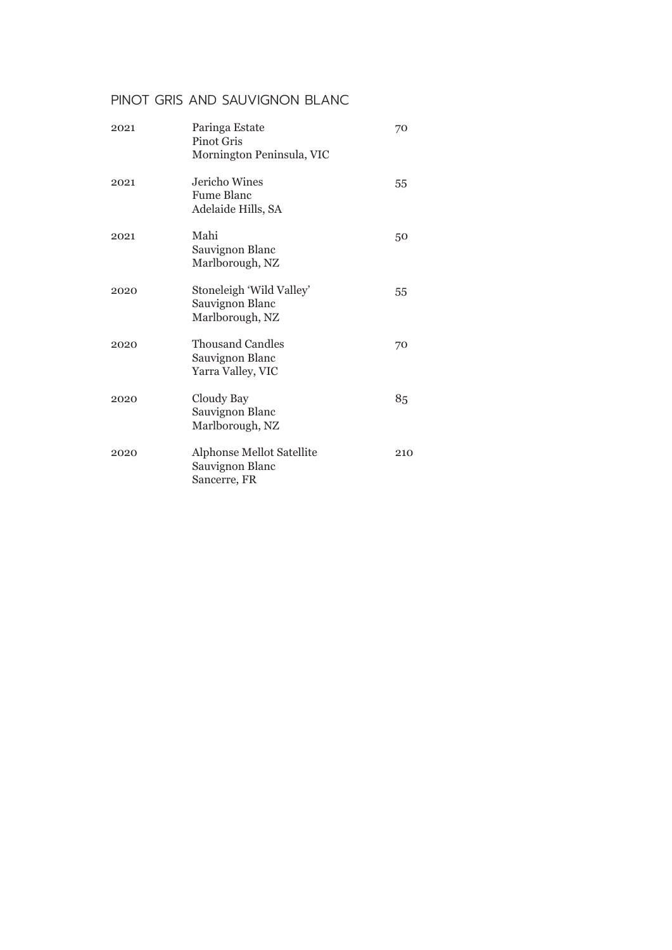#### PINOT GRIS AND SAUVIGNON BLANC

| 2021 | Paringa Estate<br>Pinot Gris<br>Mornington Peninsula, VIC       | 70  |
|------|-----------------------------------------------------------------|-----|
| 2021 | Jericho Wines<br>Fume Blanc<br>Adelaide Hills, SA               | 55  |
| 2021 | Mahi<br>Sauvignon Blanc<br>Marlborough, NZ                      | 50  |
| 2020 | Stoneleigh 'Wild Valley'<br>Sauvignon Blanc<br>Marlborough, NZ  | 55  |
| 2020 | <b>Thousand Candles</b><br>Sauvignon Blanc<br>Yarra Valley, VIC | 70  |
| 2020 | Cloudy Bay<br>Sauvignon Blanc<br>Marlborough, NZ                | 85  |
| 2020 | Alphonse Mellot Satellite<br>Sauvignon Blanc<br>Sancerre, FR    | 210 |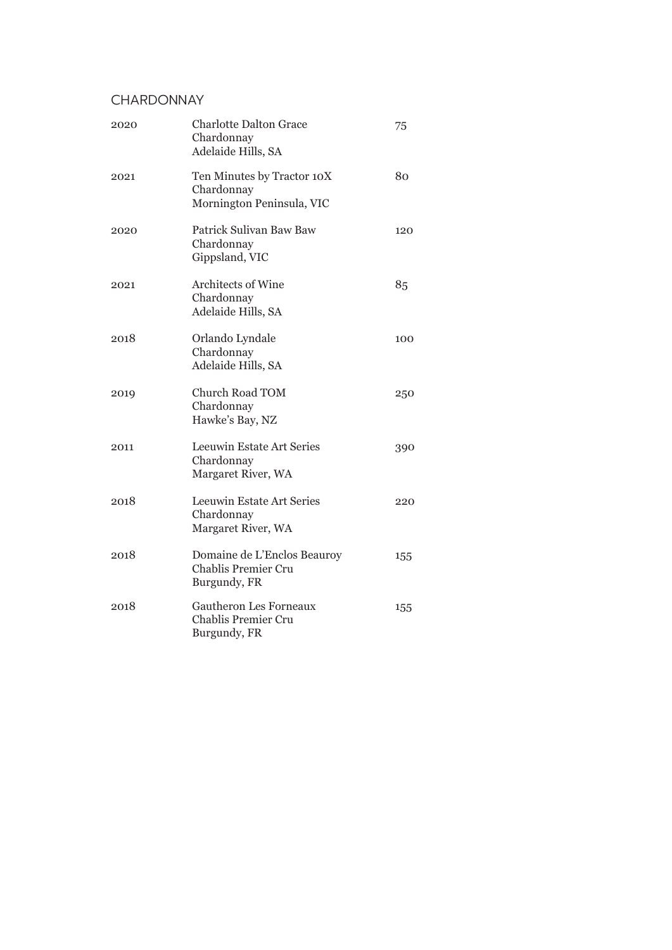#### **CHARDONNAY**

| 2020 | <b>Charlotte Dalton Grace</b><br>Chardonnay<br>Adelaide Hills, SA     | 75  |
|------|-----------------------------------------------------------------------|-----|
| 2021 | Ten Minutes by Tractor 10X<br>Chardonnay<br>Mornington Peninsula, VIC | 80  |
| 2020 | Patrick Sulivan Baw Baw<br>Chardonnay<br>Gippsland, VIC               | 120 |
| 2021 | Architects of Wine<br>Chardonnay<br>Adelaide Hills, SA                | 85  |
| 2018 | Orlando Lyndale<br>Chardonnay<br>Adelaide Hills, SA                   | 100 |
| 2019 | <b>Church Road TOM</b><br>Chardonnay<br>Hawke's Bay, NZ               | 250 |
| 2011 | Leeuwin Estate Art Series<br>Chardonnay<br>Margaret River, WA         | 390 |
| 2018 | Leeuwin Estate Art Series<br>Chardonnay<br>Margaret River, WA         | 220 |
| 2018 | Domaine de L'Enclos Beauroy<br>Chablis Premier Cru<br>Burgundy, FR    | 155 |
| 2018 | <b>Gautheron Les Forneaux</b><br>Chablis Premier Cru<br>Burgundy, FR  | 155 |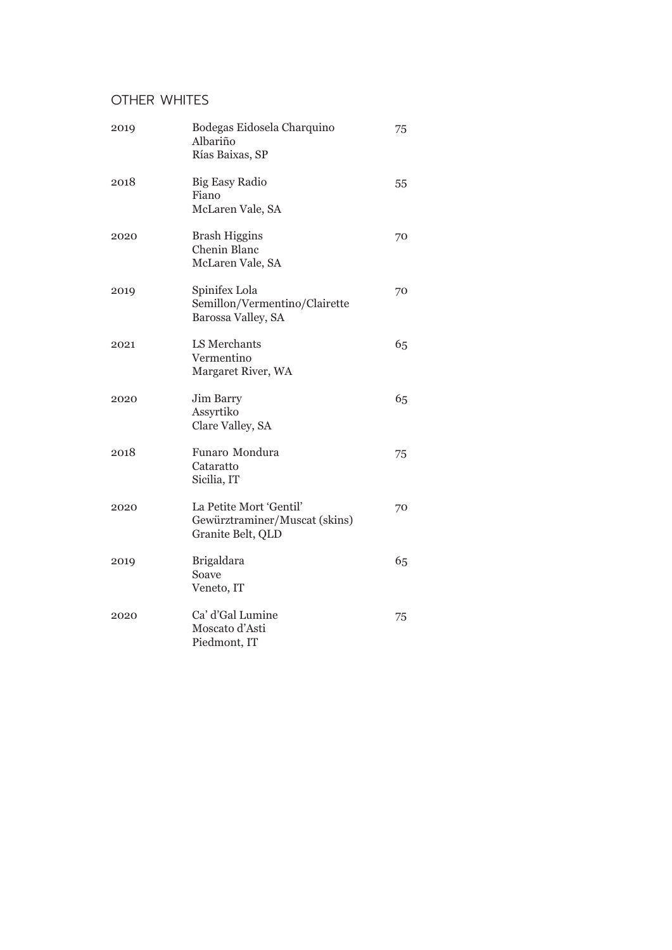### OTHER WHITES

| 2019 | Bodegas Eidosela Charquino<br>Albariño<br>Rías Baixas, SP                     | 75 |
|------|-------------------------------------------------------------------------------|----|
| 2018 | <b>Big Easy Radio</b><br>Fiano<br>McLaren Vale, SA                            | 55 |
| 2020 | <b>Brash Higgins</b><br><b>Chenin Blanc</b><br>McLaren Vale, SA               | 70 |
| 2019 | Spinifex Lola<br>Semillon/Vermentino/Clairette<br>Barossa Valley, SA          | 70 |
| 2021 | LS Merchants<br>Vermentino<br>Margaret River, WA                              | 65 |
| 2020 | Jim Barry<br>Assyrtiko<br>Clare Valley, SA                                    | 65 |
| 2018 | Funaro Mondura<br>Cataratto<br>Sicilia, IT                                    | 75 |
| 2020 | La Petite Mort 'Gentil'<br>Gewürztraminer/Muscat (skins)<br>Granite Belt, QLD | 70 |
| 2019 | <b>Brigaldara</b><br>Soave<br>Veneto, IT                                      | 65 |
| 2020 | Ca' d'Gal Lumine<br>Moscato d'Asti<br>Piedmont, IT                            | 75 |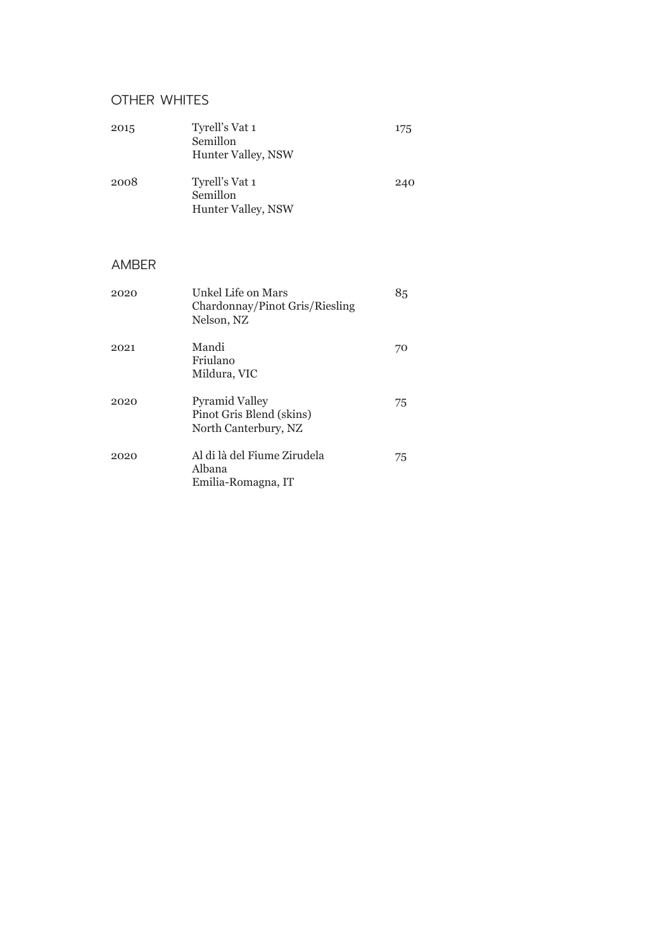### OTHER WHITES

| 2015         | Tyrell's Vat 1<br>Semillon<br>Hunter Valley, NSW                          | 175 |
|--------------|---------------------------------------------------------------------------|-----|
| 2008         | Tyrell's Vat 1<br>Semillon<br>Hunter Valley, NSW                          | 240 |
| <b>AMBER</b> |                                                                           |     |
| 2020         | Unkel Life on Mars<br>Chardonnay/Pinot Gris/Riesling<br>Nelson, NZ        | 85  |
| 2021         | Mandi<br>Friulano<br>Mildura, VIC                                         | 70  |
| 2020         | <b>Pyramid Valley</b><br>Pinot Gris Blend (skins)<br>North Canterbury, NZ | 75  |
| 2020         | Al di là del Fiume Zirudela<br>Albana<br>Emilia-Romagna, IT               | 75  |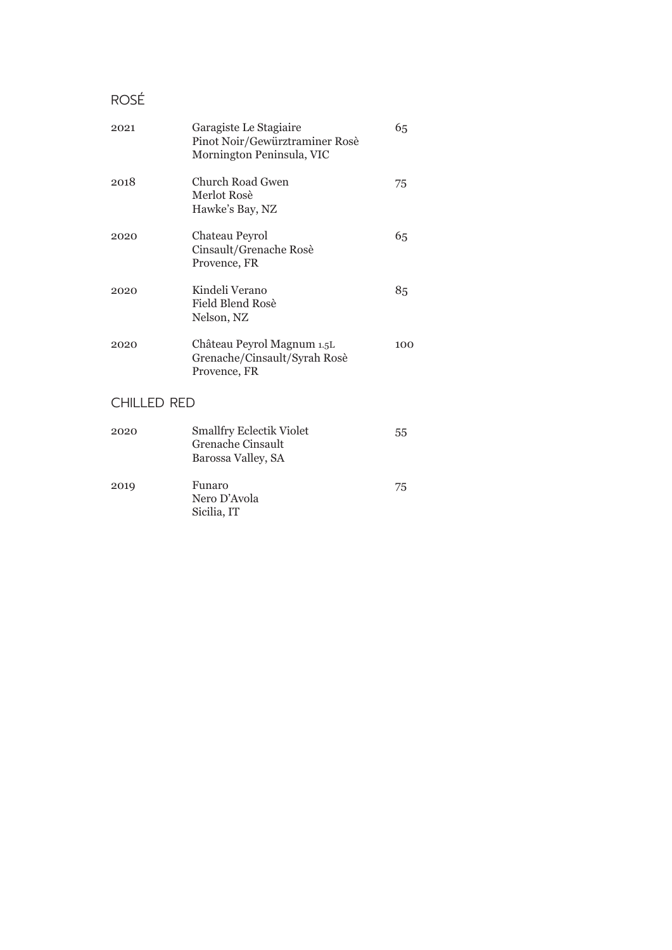### ROSÉ

| 2021 | Garagiste Le Stagiaire<br>Pinot Noir/Gewürztraminer Rosè<br>Mornington Peninsula, VIC | 65  |
|------|---------------------------------------------------------------------------------------|-----|
| 2018 | Church Road Gwen<br>Merlot Rosè<br>Hawke's Bay, NZ                                    | 75  |
| 2020 | Chateau Peyrol<br>Cinsault/Grenache Rosè<br>Provence, FR                              | 65  |
| 2020 | Kindeli Verano<br>Field Blend Rosè<br>Nelson, NZ                                      | 85  |
| 2020 | Château Peyrol Magnum 1.5L<br>Grenache/Cinsault/Syrah Rosè<br>Provence, FR            | 100 |

### CHILLED RED

| 2020 | <b>Smallfry Eclectik Violet</b><br>Grenache Cinsault<br>Barossa Valley, SA | 55 |
|------|----------------------------------------------------------------------------|----|
| 2019 | Funaro<br>Nero D'Avola<br>Sicilia, IT                                      | 75 |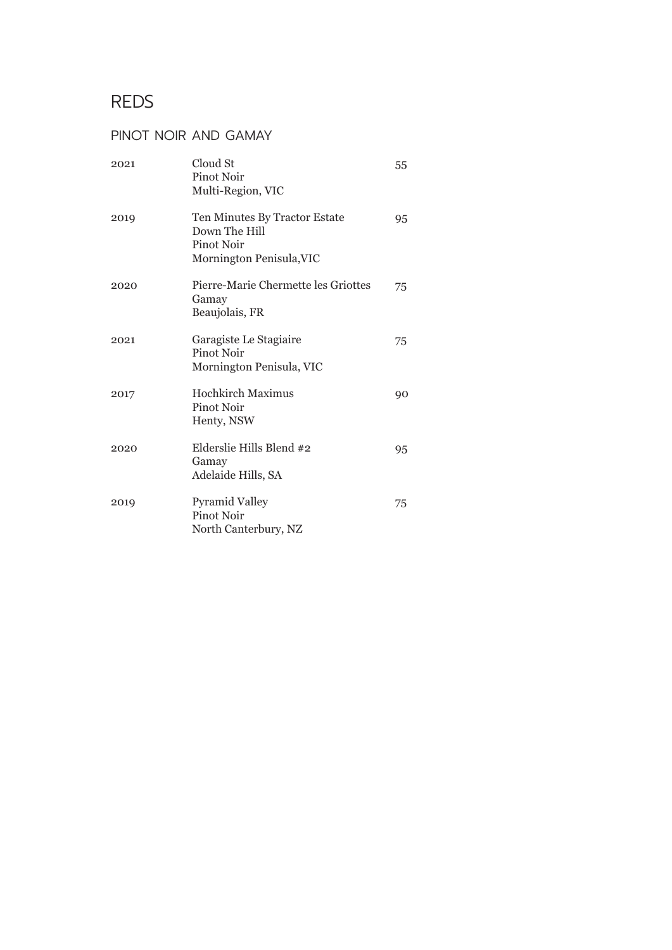### REDS

#### PINOT NOIR AND GAMAY

| 2021 | Cloud St<br>Pinot Noir<br>Multi-Region, VIC                                              | 55 |
|------|------------------------------------------------------------------------------------------|----|
| 2019 | Ten Minutes By Tractor Estate<br>Down The Hill<br>Pinot Noir<br>Mornington Penisula, VIC | 95 |
| 2020 | Pierre-Marie Chermette les Griottes<br>Gamay<br>Beaujolais, FR                           | 75 |
| 2021 | Garagiste Le Stagiaire<br>Pinot Noir<br>Mornington Penisula, VIC                         | 75 |
| 2017 | Hochkirch Maximus<br>Pinot Noir<br>Henty, NSW                                            | 90 |
| 2020 | Elderslie Hills Blend #2<br>Gamay<br>Adelaide Hills, SA                                  | 95 |
| 2019 | <b>Pyramid Valley</b><br>Pinot Noir<br>North Canterbury, NZ                              | 75 |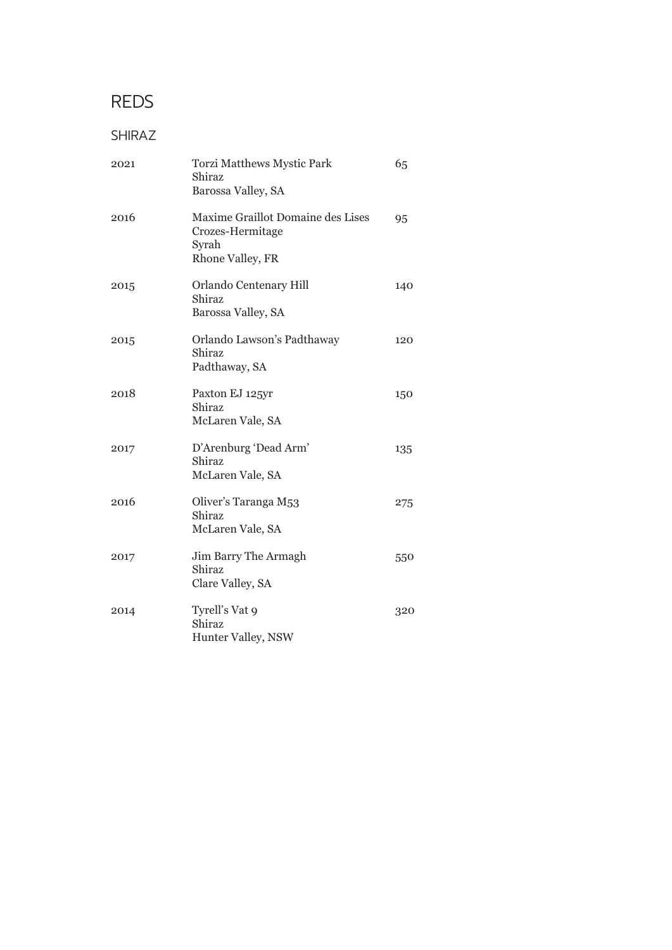### REDS

#### SHIRAZ

| 2021 | <b>Torzi Matthews Mystic Park</b><br>Shiraz<br>Barossa Valley, SA                  | 65  |
|------|------------------------------------------------------------------------------------|-----|
| 2016 | Maxime Graillot Domaine des Lises<br>Crozes-Hermitage<br>Syrah<br>Rhone Valley, FR | 95  |
| 2015 | Orlando Centenary Hill<br>Shiraz<br>Barossa Valley, SA                             | 140 |
| 2015 | Orlando Lawson's Padthaway<br>Shiraz<br>Padthaway, SA                              | 120 |
| 2018 | Paxton EJ 125yr<br>Shiraz<br>McLaren Vale, SA                                      | 150 |
| 2017 | D'Arenburg 'Dead Arm'<br>Shiraz<br>McLaren Vale, SA                                | 135 |
| 2016 | Oliver's Taranga M53<br>Shiraz<br>McLaren Vale, SA                                 | 275 |
| 2017 | Jim Barry The Armagh<br>Shiraz<br>Clare Valley, SA                                 | 550 |
| 2014 | Tyrell's Vat 9<br>Shiraz<br>Hunter Valley, NSW                                     | 320 |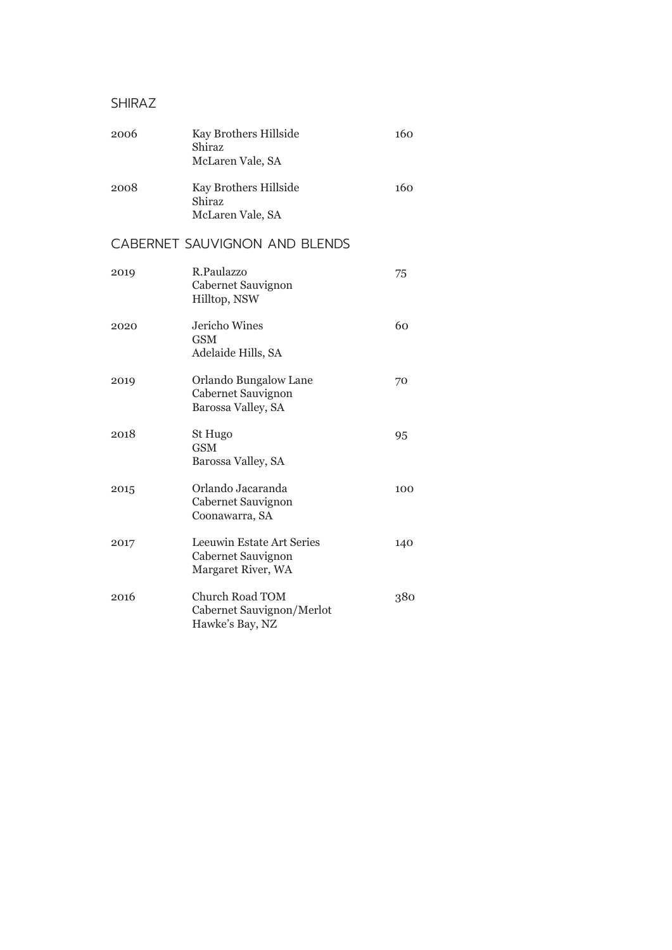#### SHIRAZ

| 2006 | Kay Brothers Hillside<br>Shiraz<br>McLaren Vale, SA | 160 |
|------|-----------------------------------------------------|-----|
| 2008 | Kay Brothers Hillside<br>Shiraz<br>McLaren Vale, SA | 160 |

### CABERNET SAUVIGNON AND BLENDS

| 2019 | R.Paulazzo<br>Cabernet Sauvignon<br>Hilltop, NSW                       | 75  |
|------|------------------------------------------------------------------------|-----|
| 2020 | Jericho Wines<br><b>GSM</b><br>Adelaide Hills, SA                      | 60  |
| 2019 | Orlando Bungalow Lane<br>Cabernet Sauvignon<br>Barossa Valley, SA      | 70  |
| 2018 | St Hugo<br><b>GSM</b><br>Barossa Valley, SA                            | 95  |
| 2015 | Orlando Jacaranda<br>Cabernet Sauvignon<br>Coonawarra, SA              | 100 |
| 2017 | Leeuwin Estate Art Series<br>Cabernet Sauvignon<br>Margaret River, WA  | 140 |
| 2016 | <b>Church Road TOM</b><br>Cabernet Sauvignon/Merlot<br>Hawke's Bay, NZ | 380 |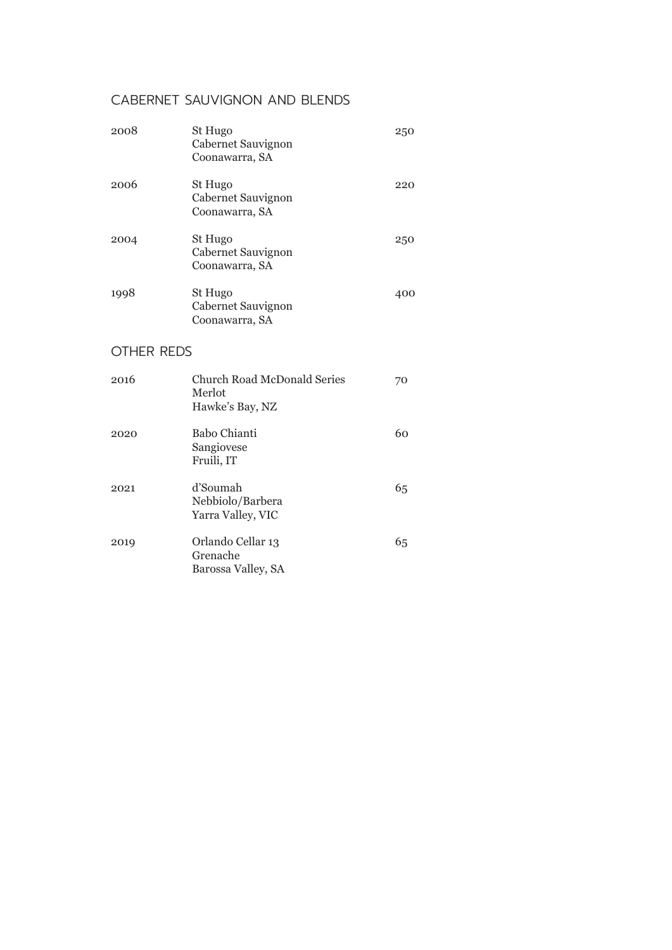#### CABERNET SAUVIGNON AND BLENDS

| 2008              | St Hugo<br>Cabernet Sauvignon<br>Coonawarra, SA          | 250 |
|-------------------|----------------------------------------------------------|-----|
| 2006              | St Hugo<br>Cabernet Sauvignon<br>Coonawarra, SA          | 220 |
| 2004              | St Hugo<br>Cabernet Sauvignon<br>Coonawarra, SA          | 250 |
| 1998              | St Hugo<br>Cabernet Sauvignon<br>Coonawarra, SA          | 400 |
| <b>OTHER REDS</b> |                                                          |     |
| 2016              | Church Road McDonald Series<br>Merlot<br>Hawke's Bay, NZ | 70  |
| 2020              | <b>Babo Chianti</b><br>Sangiovese<br>Fruili, IT          | 60  |
| 2021              | d'Soumah<br>Nebbiolo/Barbera<br>Yarra Valley, VIC        | 65  |
| 2019              | Orlando Cellar 13<br>Grenache                            | 65  |

Barossa Valley, SA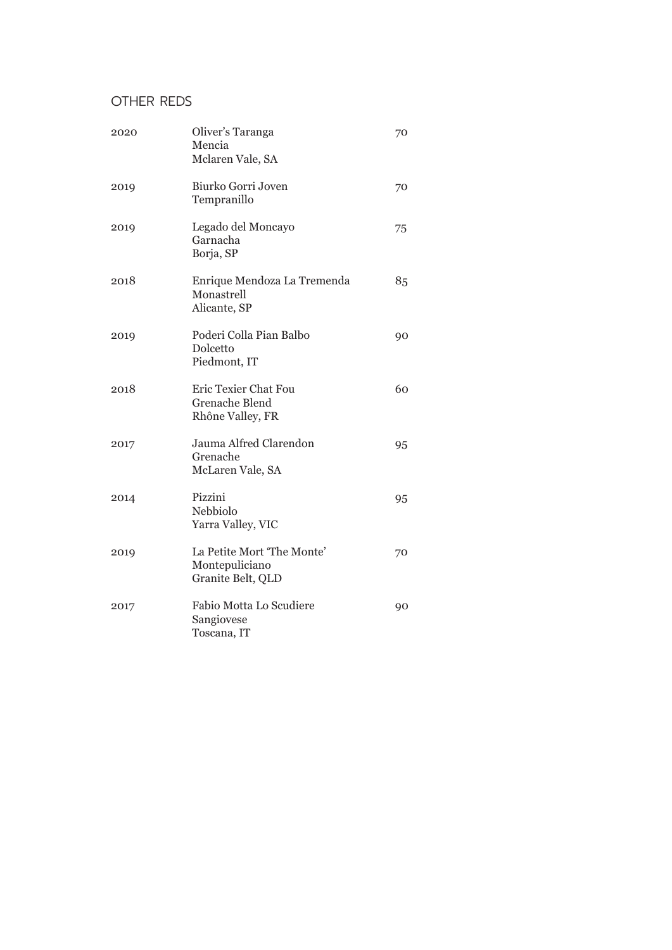### OTHER REDS

| 2020 | Oliver's Taranga<br>Mencia<br>Mclaren Vale, SA                    | 70 |
|------|-------------------------------------------------------------------|----|
| 2019 | Biurko Gorri Joven<br>Tempranillo                                 | 70 |
| 2019 | Legado del Moncayo<br>Garnacha<br>Borja, SP                       | 75 |
| 2018 | Enrique Mendoza La Tremenda<br>Monastrell<br>Alicante, SP         | 85 |
| 2019 | Poderi Colla Pian Balbo<br>Dolcetto<br>Piedmont, IT               | 90 |
| 2018 | Eric Texier Chat Fou<br><b>Grenache Blend</b><br>Rhône Valley, FR | 60 |
| 2017 | Jauma Alfred Clarendon<br>Grenache<br>McLaren Vale, SA            | 95 |
| 2014 | Pizzini<br>Nebbiolo<br>Yarra Valley, VIC                          | 95 |
| 2019 | La Petite Mort 'The Monte'<br>Montepuliciano<br>Granite Belt, QLD | 70 |
| 2017 | Fabio Motta Lo Scudiere<br>Sangiovese<br>Toscana, IT              | 90 |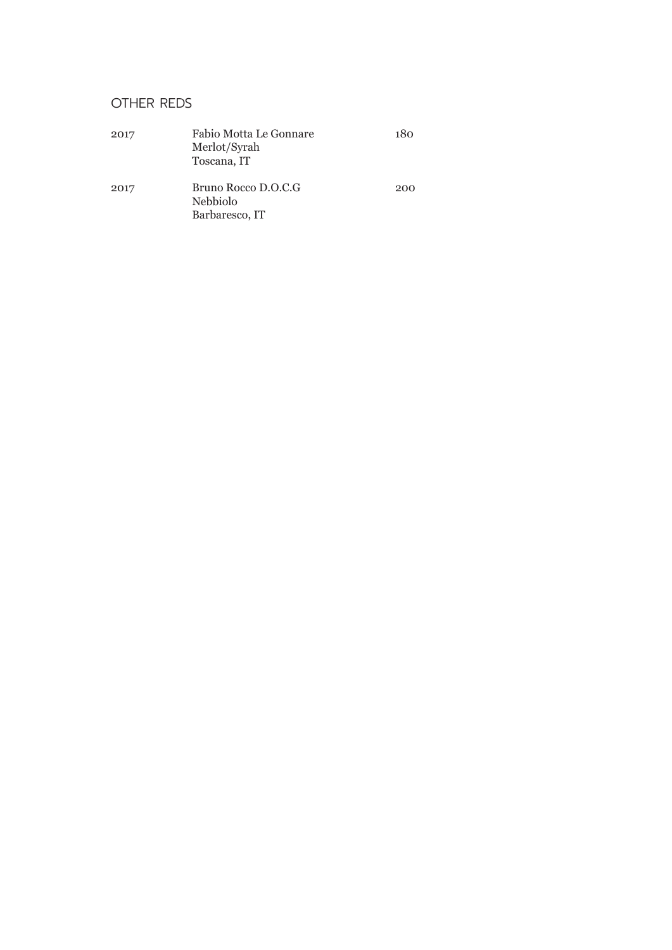#### OTHER REDS

| 2017 | Fabio Motta Le Gonnare<br>Merlot/Syrah<br>Toscana, IT    | 180 |
|------|----------------------------------------------------------|-----|
| 2017 | Bruno Rocco D.O.C.G<br><b>Nebbiolo</b><br>Barbaresco, IT | 200 |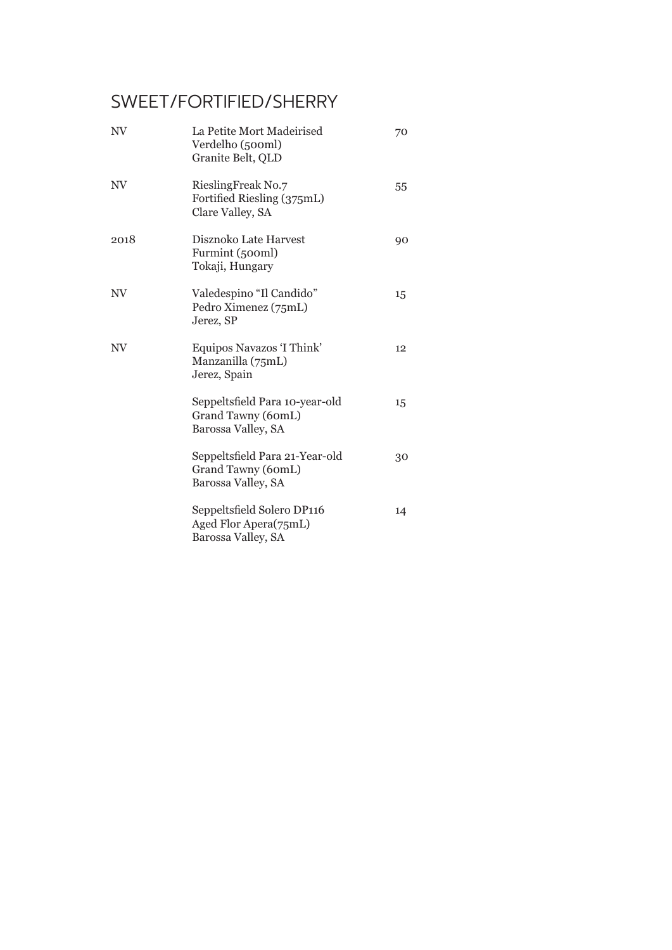## SWEET/FORTIFIED/SHERRY

| $\rm NV$ | La Petite Mort Madeirised<br>Verdelho (500ml)<br>Granite Belt, QLD         | 70 |
|----------|----------------------------------------------------------------------------|----|
| $N\!V$   | RieslingFreak No.7<br>Fortified Riesling (375mL)<br>Clare Valley, SA       | 55 |
| 2018     | Disznoko Late Harvest<br>Furmint (500ml)<br>Tokaji, Hungary                | 90 |
| $\rm NV$ | Valedespino "Il Candido"<br>Pedro Ximenez (75mL)<br>Jerez, SP              | 15 |
| NV       | Equipos Navazos 'I Think'<br>Manzanilla (75mL)<br>Jerez, Spain             | 12 |
|          | Seppeltsfield Para 10-year-old<br>Grand Tawny (60mL)<br>Barossa Valley, SA | 15 |
|          | Seppeltsfield Para 21-Year-old<br>Grand Tawny (60mL)<br>Barossa Valley, SA | 30 |
|          | Seppeltsfield Solero DP116<br>Aged Flor Apera(75mL)<br>Barossa Valley, SA  | 14 |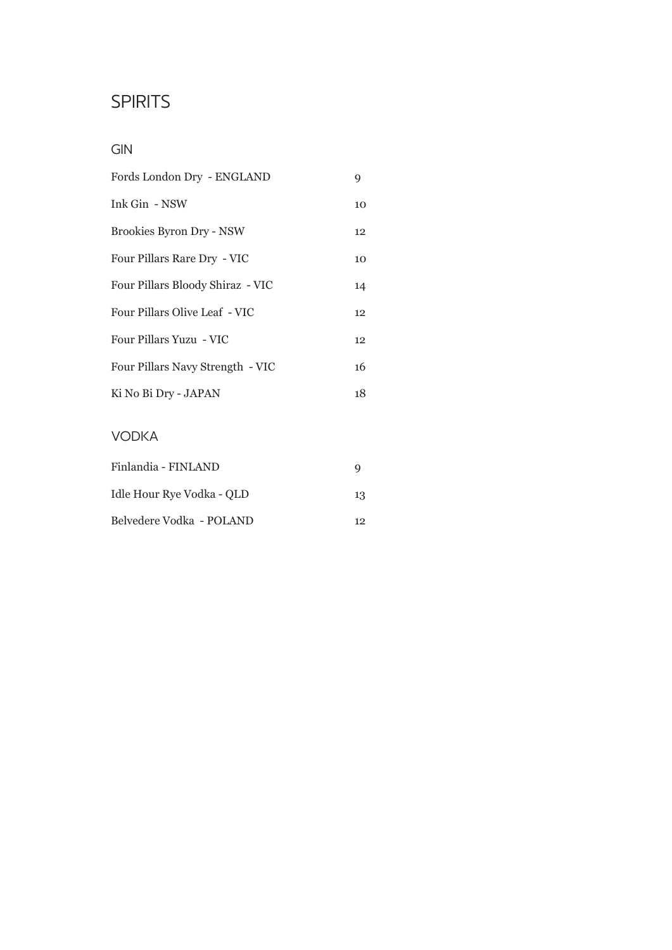### GIN

| Fords London Dry - ENGLAND       | 9  |
|----------------------------------|----|
| Ink Gin - NSW                    | 10 |
| <b>Brookies Byron Dry - NSW</b>  | 12 |
| Four Pillars Rare Dry - VIC      | 10 |
| Four Pillars Bloody Shiraz - VIC | 14 |
| Four Pillars Olive Leaf - VIC    | 12 |
| Four Pillars Yuzu - VIC          | 12 |
| Four Pillars Navy Strength - VIC | 16 |
| Ki No Bi Dry - JAPAN             | 18 |
|                                  |    |

### VODKA

| Finlandia - FINLAND       | Q  |
|---------------------------|----|
| Idle Hour Rye Vodka - QLD | 13 |
| Belvedere Vodka - POLAND  | 19 |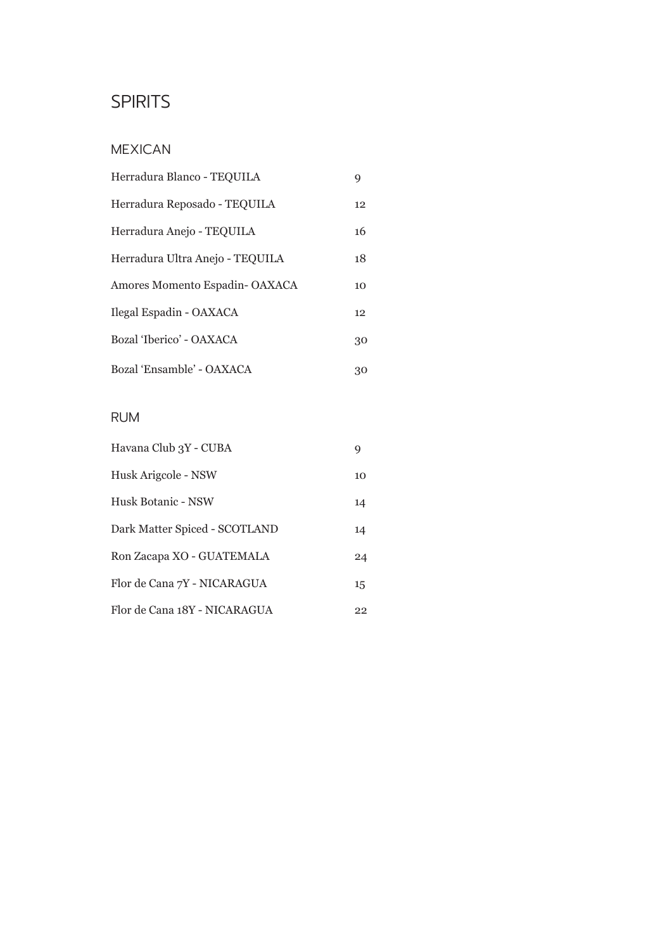### MEXICAN

| Herradura Blanco - TEQUILA      | 9  |
|---------------------------------|----|
| Herradura Reposado - TEQUILA    | 12 |
| Herradura Anejo - TEQUILA       | 16 |
| Herradura Ultra Anejo - TEQUILA | 18 |
| Amores Momento Espadin-OAXACA   | 10 |
| Ilegal Espadin - OAXACA         | 12 |
| Bozal 'Iberico' - OAXACA        | 30 |
| Bozal 'Ensamble' - OAXACA       | 30 |

#### RUM

| Havana Club 3Y - CUBA         | 9  |
|-------------------------------|----|
| Husk Arigcole - NSW           | 10 |
| Husk Botanic - NSW            | 14 |
| Dark Matter Spiced - SCOTLAND | 14 |
| Ron Zacapa XO - GUATEMALA     | 24 |
| Flor de Cana 7Y - NICARAGUA   | 15 |
| Flor de Cana 18Y - NICARAGUA  | 22 |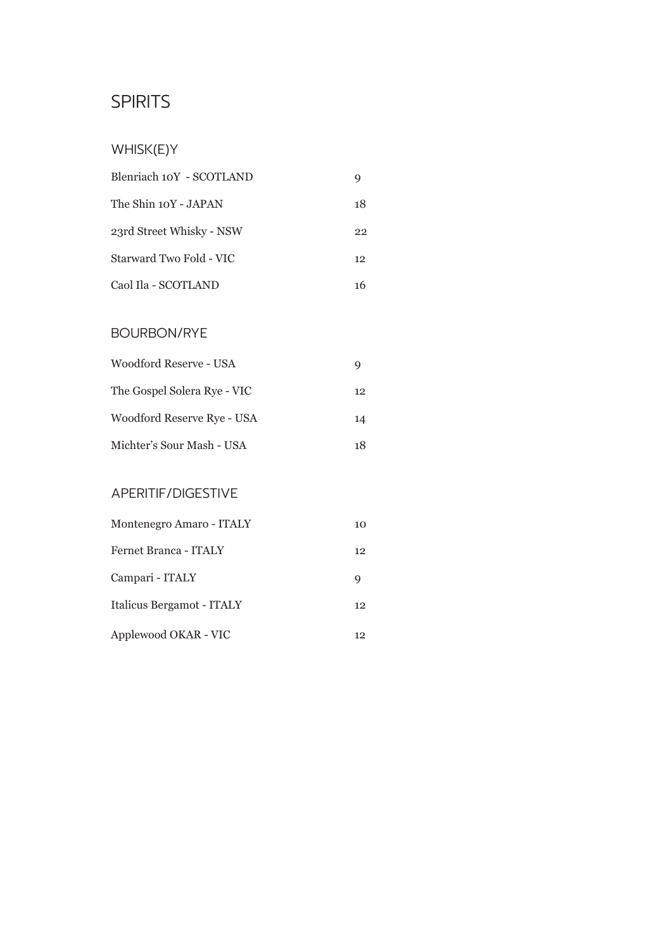### WHISK(E)Y

| Blenriach 10Y - SCOTLAND |    |
|--------------------------|----|
| The Shin 10Y - JAPAN     | 18 |
| 23rd Street Whisky - NSW | 22 |
| Starward Two Fold - VIC  | 12 |
| Caol Ila - SCOTLAND      | 16 |

#### BOURBON/RYE

| Woodford Reserve - USA      | g  |
|-----------------------------|----|
| The Gospel Solera Rye - VIC | 12 |
| Woodford Reserve Rye - USA  | 14 |
| Michter's Sour Mash - USA   | 18 |

#### APERITIF/DIGESTIVE

| Montenegro Amaro - ITALY  | 10 |
|---------------------------|----|
| Fernet Branca - ITALY     | 12 |
| Campari - ITALY           | Q  |
| Italicus Bergamot - ITALY | 12 |
| Applewood OKAR - VIC      | 12 |